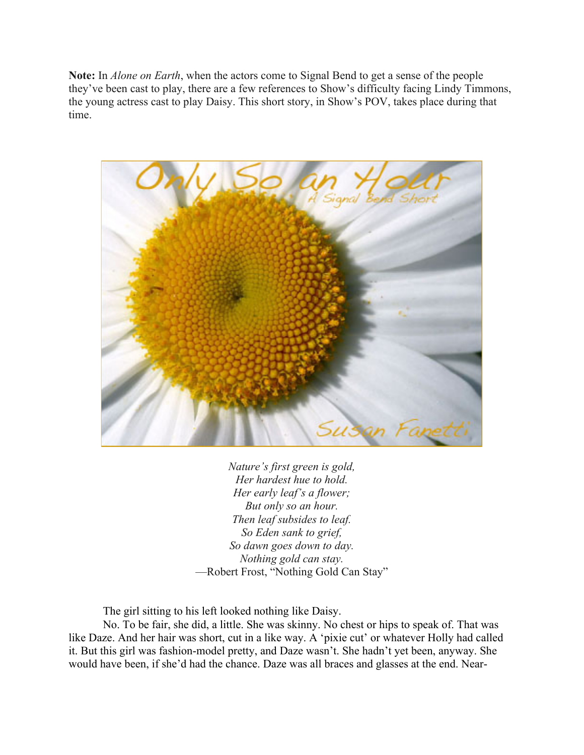**Note:** In *Alone on Earth*, when the actors come to Signal Bend to get a sense of the people they've been cast to play, there are a few references to Show's difficulty facing Lindy Timmons, the young actress cast to play Daisy. This short story, in Show's POV, takes place during that time.



*Nature's first green is gold, Her hardest hue to hold. Her early leaf's a flower; But only so an hour. Then leaf subsides to leaf. So Eden sank to grief, So dawn goes down to day. Nothing gold can stay.* —Robert Frost, "Nothing Gold Can Stay"

The girl sitting to his left looked nothing like Daisy.

No. To be fair, she did, a little. She was skinny. No chest or hips to speak of. That was like Daze. And her hair was short, cut in a like way. A 'pixie cut' or whatever Holly had called it. But this girl was fashion-model pretty, and Daze wasn't. She hadn't yet been, anyway. She would have been, if she'd had the chance. Daze was all braces and glasses at the end. Near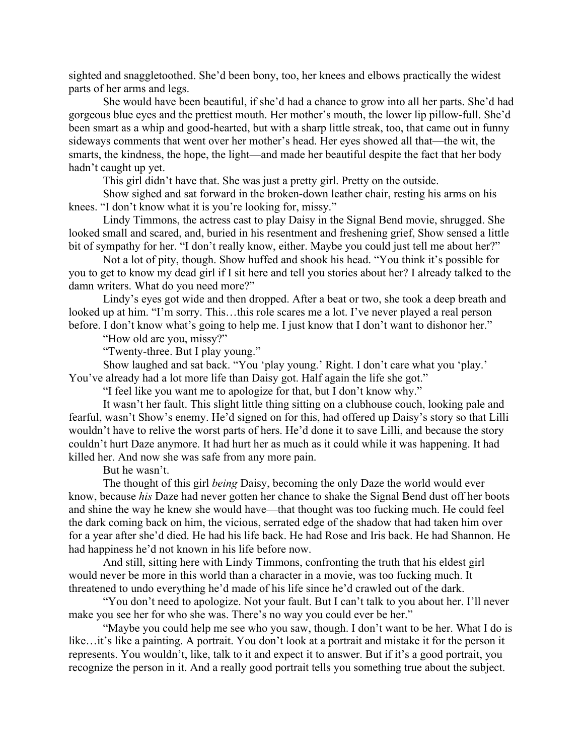sighted and snaggletoothed. She'd been bony, too, her knees and elbows practically the widest parts of her arms and legs.

She would have been beautiful, if she'd had a chance to grow into all her parts. She'd had gorgeous blue eyes and the prettiest mouth. Her mother's mouth, the lower lip pillow-full. She'd been smart as a whip and good-hearted, but with a sharp little streak, too, that came out in funny sideways comments that went over her mother's head. Her eyes showed all that—the wit, the smarts, the kindness, the hope, the light—and made her beautiful despite the fact that her body hadn't caught up yet.

This girl didn't have that. She was just a pretty girl. Pretty on the outside.

Show sighed and sat forward in the broken-down leather chair, resting his arms on his knees. "I don't know what it is you're looking for, missy."

Lindy Timmons, the actress cast to play Daisy in the Signal Bend movie, shrugged. She looked small and scared, and, buried in his resentment and freshening grief, Show sensed a little bit of sympathy for her. "I don't really know, either. Maybe you could just tell me about her?"

Not a lot of pity, though. Show huffed and shook his head. "You think it's possible for you to get to know my dead girl if I sit here and tell you stories about her? I already talked to the damn writers. What do you need more?"

Lindy's eyes got wide and then dropped. After a beat or two, she took a deep breath and looked up at him. "I'm sorry. This…this role scares me a lot. I've never played a real person before. I don't know what's going to help me. I just know that I don't want to dishonor her."

"How old are you, missy?"

"Twenty-three. But I play young."

Show laughed and sat back. "You 'play young.' Right. I don't care what you 'play.' You've already had a lot more life than Daisy got. Half again the life she got."

"I feel like you want me to apologize for that, but I don't know why."

It wasn't her fault. This slight little thing sitting on a clubhouse couch, looking pale and fearful, wasn't Show's enemy. He'd signed on for this, had offered up Daisy's story so that Lilli wouldn't have to relive the worst parts of hers. He'd done it to save Lilli, and because the story couldn't hurt Daze anymore. It had hurt her as much as it could while it was happening. It had killed her. And now she was safe from any more pain.

But he wasn't.

The thought of this girl *being* Daisy, becoming the only Daze the world would ever know, because *his* Daze had never gotten her chance to shake the Signal Bend dust off her boots and shine the way he knew she would have—that thought was too fucking much. He could feel the dark coming back on him, the vicious, serrated edge of the shadow that had taken him over for a year after she'd died. He had his life back. He had Rose and Iris back. He had Shannon. He had happiness he'd not known in his life before now.

And still, sitting here with Lindy Timmons, confronting the truth that his eldest girl would never be more in this world than a character in a movie, was too fucking much. It threatened to undo everything he'd made of his life since he'd crawled out of the dark.

"You don't need to apologize. Not your fault. But I can't talk to you about her. I'll never make you see her for who she was. There's no way you could ever be her."

"Maybe you could help me see who you saw, though. I don't want to be her. What I do is like…it's like a painting. A portrait. You don't look at a portrait and mistake it for the person it represents. You wouldn't, like, talk to it and expect it to answer. But if it's a good portrait, you recognize the person in it. And a really good portrait tells you something true about the subject.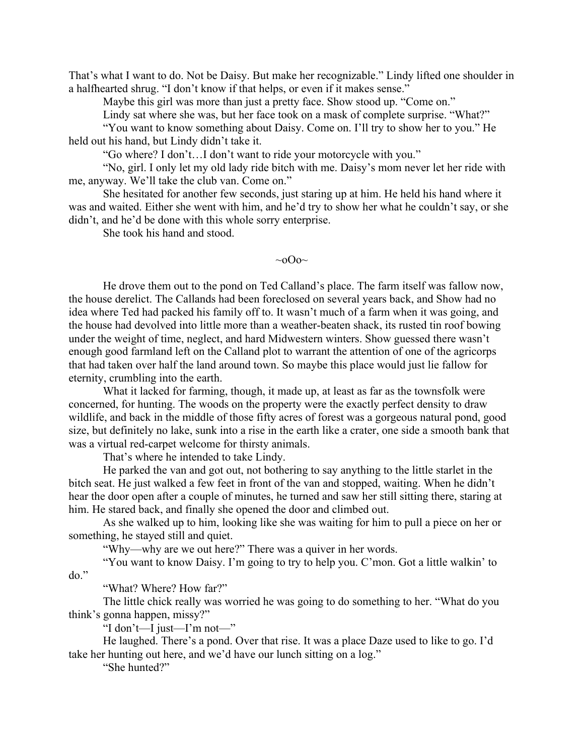That's what I want to do. Not be Daisy. But make her recognizable." Lindy lifted one shoulder in a halfhearted shrug. "I don't know if that helps, or even if it makes sense."

Maybe this girl was more than just a pretty face. Show stood up. "Come on."

Lindy sat where she was, but her face took on a mask of complete surprise. "What?"

"You want to know something about Daisy. Come on. I'll try to show her to you." He held out his hand, but Lindy didn't take it.

"Go where? I don't…I don't want to ride your motorcycle with you."

"No, girl. I only let my old lady ride bitch with me. Daisy's mom never let her ride with me, anyway. We'll take the club van. Come on."

She hesitated for another few seconds, just staring up at him. He held his hand where it was and waited. Either she went with him, and he'd try to show her what he couldn't say, or she didn't, and he'd be done with this whole sorry enterprise.

She took his hand and stood.

## $\sim 0$ 0 $\sim$

He drove them out to the pond on Ted Calland's place. The farm itself was fallow now, the house derelict. The Callands had been foreclosed on several years back, and Show had no idea where Ted had packed his family off to. It wasn't much of a farm when it was going, and the house had devolved into little more than a weather-beaten shack, its rusted tin roof bowing under the weight of time, neglect, and hard Midwestern winters. Show guessed there wasn't enough good farmland left on the Calland plot to warrant the attention of one of the agricorps that had taken over half the land around town. So maybe this place would just lie fallow for eternity, crumbling into the earth.

What it lacked for farming, though, it made up, at least as far as the townsfolk were concerned, for hunting. The woods on the property were the exactly perfect density to draw wildlife, and back in the middle of those fifty acres of forest was a gorgeous natural pond, good size, but definitely no lake, sunk into a rise in the earth like a crater, one side a smooth bank that was a virtual red-carpet welcome for thirsty animals.

That's where he intended to take Lindy.

He parked the van and got out, not bothering to say anything to the little starlet in the bitch seat. He just walked a few feet in front of the van and stopped, waiting. When he didn't hear the door open after a couple of minutes, he turned and saw her still sitting there, staring at him. He stared back, and finally she opened the door and climbed out.

As she walked up to him, looking like she was waiting for him to pull a piece on her or something, he stayed still and quiet.

"Why—why are we out here?" There was a quiver in her words.

"You want to know Daisy. I'm going to try to help you. C'mon. Got a little walkin' to

do."

"What? Where? How far?"

The little chick really was worried he was going to do something to her. "What do you think's gonna happen, missy?"

"I don't—I just—I'm not—"

He laughed. There's a pond. Over that rise. It was a place Daze used to like to go. I'd take her hunting out here, and we'd have our lunch sitting on a log."

"She hunted?"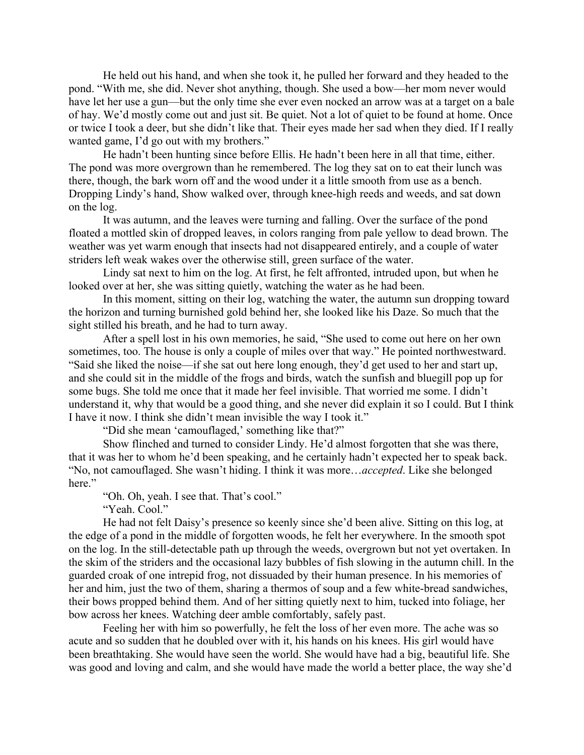He held out his hand, and when she took it, he pulled her forward and they headed to the pond. "With me, she did. Never shot anything, though. She used a bow—her mom never would have let her use a gun—but the only time she ever even nocked an arrow was at a target on a bale of hay. We'd mostly come out and just sit. Be quiet. Not a lot of quiet to be found at home. Once or twice I took a deer, but she didn't like that. Their eyes made her sad when they died. If I really wanted game, I'd go out with my brothers."

He hadn't been hunting since before Ellis. He hadn't been here in all that time, either. The pond was more overgrown than he remembered. The log they sat on to eat their lunch was there, though, the bark worn off and the wood under it a little smooth from use as a bench. Dropping Lindy's hand, Show walked over, through knee-high reeds and weeds, and sat down on the log.

It was autumn, and the leaves were turning and falling. Over the surface of the pond floated a mottled skin of dropped leaves, in colors ranging from pale yellow to dead brown. The weather was yet warm enough that insects had not disappeared entirely, and a couple of water striders left weak wakes over the otherwise still, green surface of the water.

Lindy sat next to him on the log. At first, he felt affronted, intruded upon, but when he looked over at her, she was sitting quietly, watching the water as he had been.

In this moment, sitting on their log, watching the water, the autumn sun dropping toward the horizon and turning burnished gold behind her, she looked like his Daze. So much that the sight stilled his breath, and he had to turn away.

After a spell lost in his own memories, he said, "She used to come out here on her own sometimes, too. The house is only a couple of miles over that way." He pointed northwestward. "Said she liked the noise—if she sat out here long enough, they'd get used to her and start up, and she could sit in the middle of the frogs and birds, watch the sunfish and bluegill pop up for some bugs. She told me once that it made her feel invisible. That worried me some. I didn't understand it, why that would be a good thing, and she never did explain it so I could. But I think I have it now. I think she didn't mean invisible the way I took it."

"Did she mean 'camouflaged,' something like that?"

Show flinched and turned to consider Lindy. He'd almost forgotten that she was there, that it was her to whom he'd been speaking, and he certainly hadn't expected her to speak back. "No, not camouflaged. She wasn't hiding. I think it was more…*accepted*. Like she belonged here."

"Oh. Oh, yeah. I see that. That's cool."

"Yeah. Cool."

He had not felt Daisy's presence so keenly since she'd been alive. Sitting on this log, at the edge of a pond in the middle of forgotten woods, he felt her everywhere. In the smooth spot on the log. In the still-detectable path up through the weeds, overgrown but not yet overtaken. In the skim of the striders and the occasional lazy bubbles of fish slowing in the autumn chill. In the guarded croak of one intrepid frog, not dissuaded by their human presence. In his memories of her and him, just the two of them, sharing a thermos of soup and a few white-bread sandwiches, their bows propped behind them. And of her sitting quietly next to him, tucked into foliage, her bow across her knees. Watching deer amble comfortably, safely past.

Feeling her with him so powerfully, he felt the loss of her even more. The ache was so acute and so sudden that he doubled over with it, his hands on his knees. His girl would have been breathtaking. She would have seen the world. She would have had a big, beautiful life. She was good and loving and calm, and she would have made the world a better place, the way she'd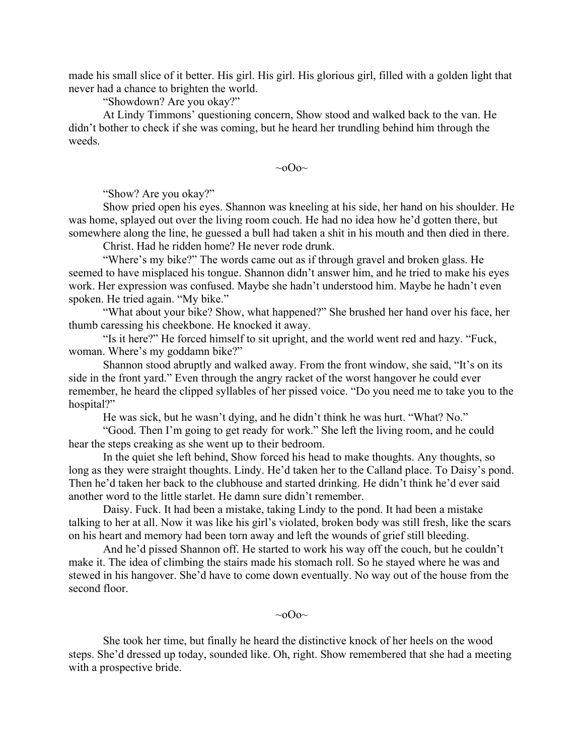made his small slice of it better. His girl. His girl. His glorious girl, filled with a golden light that never had a chance to brighten the world.

"Showdown? Are you okay?"

At Lindy Timmons' questioning concern, Show stood and walked back to the van. He didn't bother to check if she was coming, but he heard her trundling behind him through the weeds.

 $\sim 00$ o~

"Show? Are you okay?"

Show pried open his eyes. Shannon was kneeling at his side, her hand on his shoulder. He was home, splayed out over the living room couch. He had no idea how he'd gotten there, but somewhere along the line, he guessed a bull had taken a shit in his mouth and then died in there.

Christ. Had he ridden home? He never rode drunk.

"Where's my bike?" The words came out as if through gravel and broken glass. He seemed to have misplaced his tongue. Shannon didn't answer him, and he tried to make his eyes work. Her expression was confused. Maybe she hadn't understood him. Maybe he hadn't even spoken. He tried again. "My bike."

"What about your bike? Show, what happened?" She brushed her hand over his face, her thumb caressing his cheekbone. He knocked it away.

"Is it here?" He forced himself to sit upright, and the world went red and hazy. "Fuck, woman. Where's my goddamn bike?"

Shannon stood abruptly and walked away. From the front window, she said, "It's on its side in the front yard." Even through the angry racket of the worst hangover he could ever remember, he heard the clipped syllables of her pissed voice. "Do you need me to take you to the hospital?"

He was sick, but he wasn't dying, and he didn't think he was hurt. "What? No."

"Good. Then I'm going to get ready for work." She left the living room, and he could hear the steps creaking as she went up to their bedroom.

In the quiet she left behind, Show forced his head to make thoughts. Any thoughts, so long as they were straight thoughts. Lindy. He'd taken her to the Calland place. To Daisy's pond. Then he'd taken her back to the clubhouse and started drinking. He didn't think he'd ever said another word to the little starlet. He damn sure didn't remember.

Daisy. Fuck. It had been a mistake, taking Lindy to the pond. It had been a mistake talking to her at all. Now it was like his girl's violated, broken body was still fresh, like the scars on his heart and memory had been torn away and left the wounds of grief still bleeding.

And he'd pissed Shannon off. He started to work his way off the couch, but he couldn't make it. The idea of climbing the stairs made his stomach roll. So he stayed where he was and stewed in his hangover. She'd have to come down eventually. No way out of the house from the second floor.

 $\sim 0$ 0 $\sim$ 

She took her time, but finally he heard the distinctive knock of her heels on the wood steps. She'd dressed up today, sounded like. Oh, right. Show remembered that she had a meeting with a prospective bride.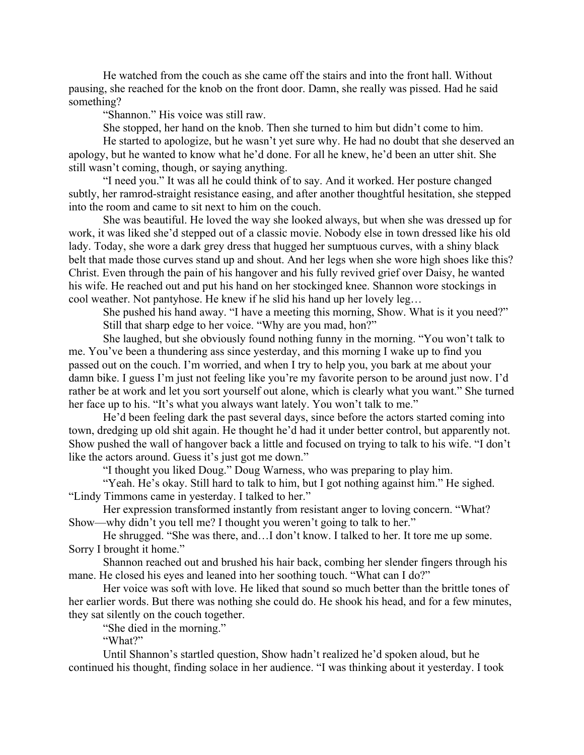He watched from the couch as she came off the stairs and into the front hall. Without pausing, she reached for the knob on the front door. Damn, she really was pissed. Had he said something?

"Shannon." His voice was still raw.

She stopped, her hand on the knob. Then she turned to him but didn't come to him.

He started to apologize, but he wasn't yet sure why. He had no doubt that she deserved an apology, but he wanted to know what he'd done. For all he knew, he'd been an utter shit. She still wasn't coming, though, or saying anything.

"I need you." It was all he could think of to say. And it worked. Her posture changed subtly, her ramrod-straight resistance easing, and after another thoughtful hesitation, she stepped into the room and came to sit next to him on the couch.

She was beautiful. He loved the way she looked always, but when she was dressed up for work, it was liked she'd stepped out of a classic movie. Nobody else in town dressed like his old lady. Today, she wore a dark grey dress that hugged her sumptuous curves, with a shiny black belt that made those curves stand up and shout. And her legs when she wore high shoes like this? Christ. Even through the pain of his hangover and his fully revived grief over Daisy, he wanted his wife. He reached out and put his hand on her stockinged knee. Shannon wore stockings in cool weather. Not pantyhose. He knew if he slid his hand up her lovely leg…

She pushed his hand away. "I have a meeting this morning, Show. What is it you need?" Still that sharp edge to her voice. "Why are you mad, hon?"

She laughed, but she obviously found nothing funny in the morning. "You won't talk to me. You've been a thundering ass since yesterday, and this morning I wake up to find you passed out on the couch. I'm worried, and when I try to help you, you bark at me about your damn bike. I guess I'm just not feeling like you're my favorite person to be around just now. I'd rather be at work and let you sort yourself out alone, which is clearly what you want." She turned her face up to his. "It's what you always want lately. You won't talk to me."

He'd been feeling dark the past several days, since before the actors started coming into town, dredging up old shit again. He thought he'd had it under better control, but apparently not. Show pushed the wall of hangover back a little and focused on trying to talk to his wife. "I don't like the actors around. Guess it's just got me down."

"I thought you liked Doug." Doug Warness, who was preparing to play him.

"Yeah. He's okay. Still hard to talk to him, but I got nothing against him." He sighed. "Lindy Timmons came in yesterday. I talked to her."

Her expression transformed instantly from resistant anger to loving concern. "What? Show—why didn't you tell me? I thought you weren't going to talk to her."

He shrugged. "She was there, and…I don't know. I talked to her. It tore me up some. Sorry I brought it home."

Shannon reached out and brushed his hair back, combing her slender fingers through his mane. He closed his eyes and leaned into her soothing touch. "What can I do?"

Her voice was soft with love. He liked that sound so much better than the brittle tones of her earlier words. But there was nothing she could do. He shook his head, and for a few minutes, they sat silently on the couch together.

"She died in the morning."

"What?"

Until Shannon's startled question, Show hadn't realized he'd spoken aloud, but he continued his thought, finding solace in her audience. "I was thinking about it yesterday. I took